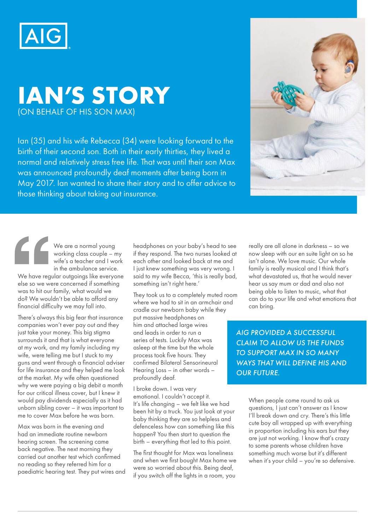

## **IAN'S STORY**  (ON BEHALF OF HIS SON MAX)

Ian (35) and his wife Rebecca (34) were looking forward to the birth of their second son. Both in their early thirties, they lived a normal and relatively stress free life. That was until their son Max was announced profoundly deaf moments after being born in May 2017. Ian wanted to share their story and to offer advice to those thinking about taking out insurance.



We are a normal young working class couple – my wife's a teacher and I work in the ambulance service.

We have regular outgoings like everyone else so we were concerned if something was to hit our family, what would we do? We wouldn't be able to afford any financial difficulty we may fall into.

There's always this big fear that insurance companies won't ever pay out and they just take your money. This big stigma surrounds it and that is what everyone at my work, and my family including my wife, were telling me but I stuck to my guns and went through a financial adviser for life insurance and they helped me look at the market. My wife often questioned why we were paying a big debit a month for our critical illness cover, but I knew it would pay dividends especially as it had unborn sibling cover – it was important to me to cover Max before he was born.

Max was born in the evening and had an immediate routine newborn hearing screen. The screening came back negative. The next morning they carried out another test which confirmed no reading so they referred him for a paediatric hearing test. They put wires and

headphones on your baby's head to see if they respond. The two nurses looked at each other and looked back at me and I just knew something was very wrong. I said to my wife Becca, 'this is really bad, something isn't right here.'

They took us to a completely muted room where we had to sit in an armchair and cradle our newborn baby while they put massive headphones on him and attached large wires and leads in order to run a series of tests. Luckily Max was asleep at the time but the whole process took five hours. They confirmed Bilateral Sensorineural Hearing Loss – in other words – profoundly deaf.

I broke down. I was very emotional. I couldn't accept it. It's life changing – we felt like we had been hit by a truck. You just look at your baby thinking they are so helpless and defenceless how can something like this happen? You then start to question the birth – everything that led to this point.

The first thought for Max was loneliness and when we first bought Max home we were so worried about this. Being deaf, if you switch off the lights in a room, you

really are all alone in darkness – so we now sleep with our en suite light on so he isn't alone. We love music. Our whole family is really musical and I think that's what devastated us, that he would never hear us say mum or dad and also not being able to listen to music, what that can do to your life and what emotions that can bring.

*AIG PROVIDED A SUCCESSFUL CLAIM TO ALLOW US THE FUNDS TO SUPPORT MAX IN SO MANY WAYS THAT WILL DEFINE HIS AND OUR FUTURE.*

> When people come round to ask us questions, I just can't answer as I know I'll break down and cry. There's this little cute boy all wrapped up with everything in proportion including his ears but they are just not working. I know that's crazy to some parents whose children have something much worse but it's different when it's your child – you're so defensive.